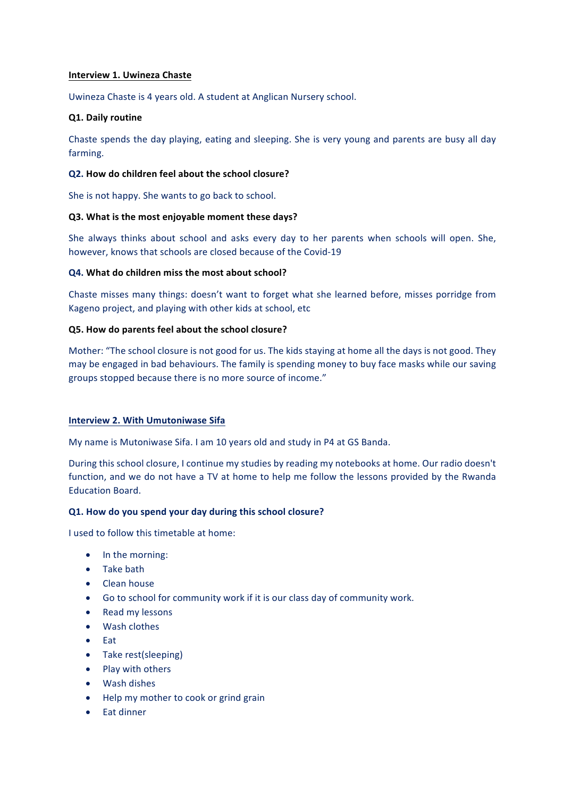## **Interview 1. Uwineza Chaste**

Uwineza Chaste is 4 years old. A student at Anglican Nursery school.

### **Q1. Daily routine**

Chaste spends the day playing, eating and sleeping. She is very young and parents are busy all day farming.

#### **Q2.** How do children feel about the school closure?

She is not happy. She wants to go back to school.

### **Q3.** What is the most enjoyable moment these days?

She always thinks about school and asks every day to her parents when schools will open. She, however, knows that schools are closed because of the Covid-19

### **Q4. What do children miss the most about school?**

Chaste misses many things: doesn't want to forget what she learned before, misses porridge from Kageno project, and playing with other kids at school, etc

### **Q5. How do parents feel about the school closure?**

Mother: "The school closure is not good for us. The kids staying at home all the days is not good. They may be engaged in bad behaviours. The family is spending money to buy face masks while our saving groups stopped because there is no more source of income."

#### **Interview 2. With Umutoniwase Sifa**

My name is Mutoniwase Sifa. I am 10 years old and study in P4 at GS Banda.

During this school closure, I continue my studies by reading my notebooks at home. Our radio doesn't function, and we do not have a TV at home to help me follow the lessons provided by the Rwanda Education Board.

## **Q1. How do you spend your day during this school closure?**

I used to follow this timetable at home:

- In the morning:
- Take bath
- Clean house
- Go to school for community work if it is our class day of community work.
- Read my lessons
- Wash clothes
- Eat
- Take rest(sleeping)
- **Play with others**
- Wash dishes
- Help my mother to cook or grind grain
- Eat dinner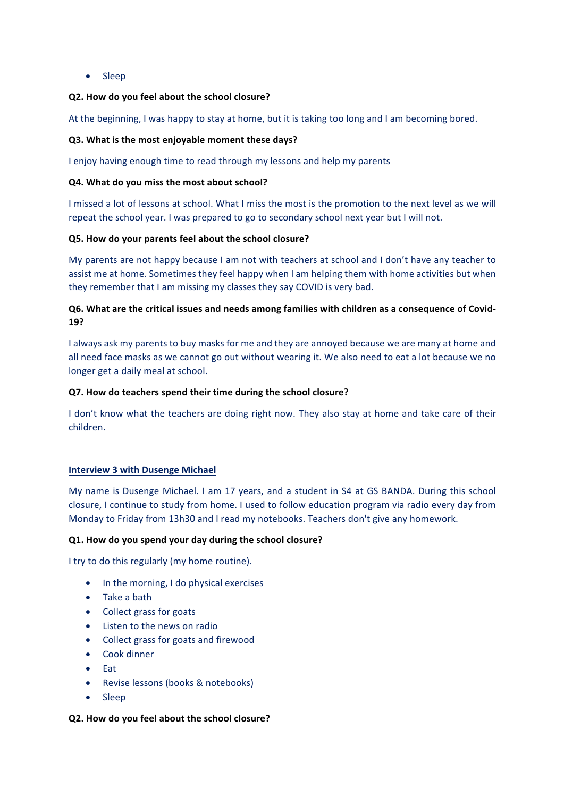• Sleep

## **Q2. How do you feel about the school closure?**

At the beginning, I was happy to stay at home, but it is taking too long and I am becoming bored.

### **Q3.** What is the most enjoyable moment these days?

I enjoy having enough time to read through my lessons and help my parents

#### **Q4. What do you miss the most about school?**

I missed a lot of lessons at school. What I miss the most is the promotion to the next level as we will repeat the school year. I was prepared to go to secondary school next year but I will not.

### **Q5. How do your parents feel about the school closure?**

My parents are not happy because I am not with teachers at school and I don't have any teacher to assist me at home. Sometimes they feel happy when I am helping them with home activities but when they remember that I am missing my classes they say COVID is very bad.

# Q6. What are the critical issues and needs among families with children as a consequence of Covid-**19?**

I always ask my parents to buy masks for me and they are annoyed because we are many at home and all need face masks as we cannot go out without wearing it. We also need to eat a lot because we no longer get a daily meal at school.

### **Q7.** How do teachers spend their time during the school closure?

I don't know what the teachers are doing right now. They also stay at home and take care of their children.

### **Interview 3 with Dusenge Michael**

My name is Dusenge Michael. I am 17 years, and a student in S4 at GS BANDA. During this school closure, I continue to study from home. I used to follow education program via radio every day from Monday to Friday from 13h30 and I read my notebooks. Teachers don't give any homework.

#### **Q1.** How do you spend your day during the school closure?

I try to do this regularly (my home routine).

- $\bullet$  In the morning, I do physical exercises
- Take a bath
- Collect grass for goats
- Listen to the news on radio
- Collect grass for goats and firewood
- Cook dinner
- Eat
- Revise lessons (books & notebooks)
- Sleep

#### **Q2. How do you feel about the school closure?**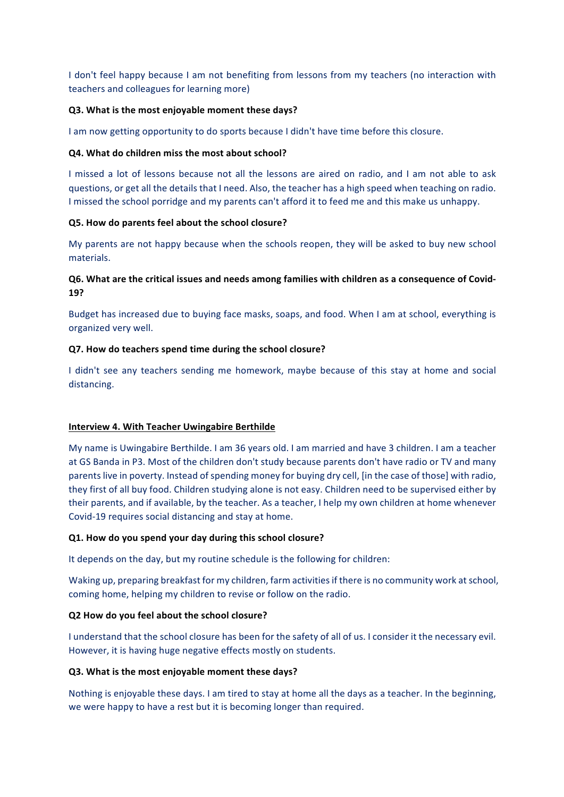I don't feel happy because I am not benefiting from lessons from my teachers (no interaction with teachers and colleagues for learning more)

#### **Q3.** What is the most enjoyable moment these days?

I am now getting opportunity to do sports because I didn't have time before this closure.

#### **Q4.** What do children miss the most about school?

I missed a lot of lessons because not all the lessons are aired on radio, and I am not able to ask questions, or get all the details that I need. Also, the teacher has a high speed when teaching on radio. I missed the school porridge and my parents can't afford it to feed me and this make us unhappy.

### **Q5. How do parents feel about the school closure?**

My parents are not happy because when the schools reopen, they will be asked to buy new school materials.

# **Q6.** What are the critical issues and needs among families with children as a consequence of Covid-**19?**

Budget has increased due to buying face masks, soaps, and food. When I am at school, everything is organized very well.

### **Q7. How do teachers spend time during the school closure?**

I didn't see any teachers sending me homework, maybe because of this stay at home and social distancing. 

#### **Interview 4. With Teacher Uwingabire Berthilde**

My name is Uwingabire Berthilde. I am 36 years old. I am married and have 3 children. I am a teacher at GS Banda in P3. Most of the children don't study because parents don't have radio or TV and many parents live in poverty. Instead of spending money for buying dry cell, [in the case of those] with radio, they first of all buy food. Children studying alone is not easy. Children need to be supervised either by their parents, and if available, by the teacher. As a teacher, I help my own children at home whenever Covid-19 requires social distancing and stay at home.

#### **Q1. How do you spend your day during this school closure?**

It depends on the day, but my routine schedule is the following for children:

Waking up, preparing breakfast for my children, farm activities if there is no community work at school, coming home, helping my children to revise or follow on the radio.

## **Q2 How do you feel about the school closure?**

I understand that the school closure has been for the safety of all of us. I consider it the necessary evil. However, it is having huge negative effects mostly on students.

#### **Q3.** What is the most enjoyable moment these days?

Nothing is enjoyable these days. I am tired to stay at home all the days as a teacher. In the beginning, we were happy to have a rest but it is becoming longer than required.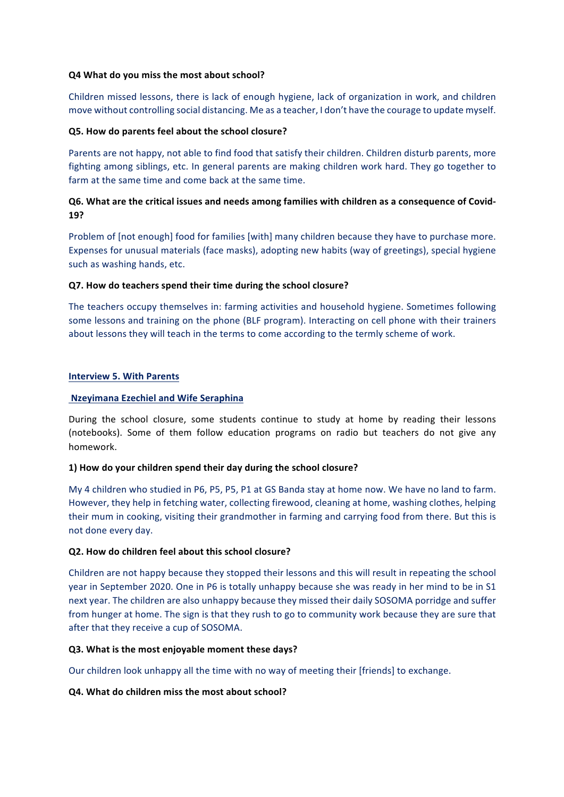### **Q4 What do you miss the most about school?**

Children missed lessons, there is lack of enough hygiene, lack of organization in work, and children move without controlling social distancing. Me as a teacher, I don't have the courage to update myself.

## **Q5. How do parents feel about the school closure?**

Parents are not happy, not able to find food that satisfy their children. Children disturb parents, more fighting among siblings, etc. In general parents are making children work hard. They go together to farm at the same time and come back at the same time.

# **Q6.** What are the critical issues and needs among families with children as a consequence of Covid-**19?**

Problem of [not enough] food for families [with] many children because they have to purchase more. Expenses for unusual materials (face masks), adopting new habits (way of greetings), special hygiene such as washing hands, etc.

## **Q7. How do teachers spend their time during the school closure?**

The teachers occupy themselves in: farming activities and household hygiene. Sometimes following some lessons and training on the phone (BLF program). Interacting on cell phone with their trainers about lessons they will teach in the terms to come according to the termly scheme of work.

### **Interview 5. With Parents**

## **Nzeyimana Ezechiel and Wife Seraphina**

During the school closure, some students continue to study at home by reading their lessons (notebooks). Some of them follow education programs on radio but teachers do not give any homework. 

## **1) How do your children spend their day during the school closure?**

My 4 children who studied in P6, P5, P5, P1 at GS Banda stay at home now. We have no land to farm. However, they help in fetching water, collecting firewood, cleaning at home, washing clothes, helping their mum in cooking, visiting their grandmother in farming and carrying food from there. But this is not done every day.

## **Q2.** How do children feel about this school closure?

Children are not happy because they stopped their lessons and this will result in repeating the school year in September 2020. One in P6 is totally unhappy because she was ready in her mind to be in S1 next year. The children are also unhappy because they missed their daily SOSOMA porridge and suffer from hunger at home. The sign is that they rush to go to community work because they are sure that after that they receive a cup of SOSOMA.

## **Q3.** What is the most enjoyable moment these days?

Our children look unhappy all the time with no way of meeting their [friends] to exchange.

## **Q4.** What do children miss the most about school?